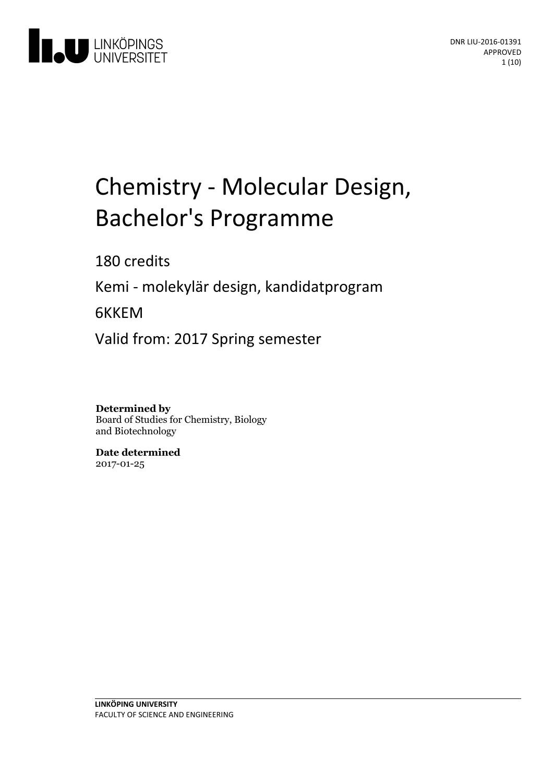

# Chemistry - Molecular Design, Bachelor's Programme

180 credits

Kemi - molekylär design, kandidatprogram

6KKEM

Valid from: 2017 Spring semester

**Determined by** Board of Studies for Chemistry, Biology and Biotechnology

**Date determined** 2017-01-25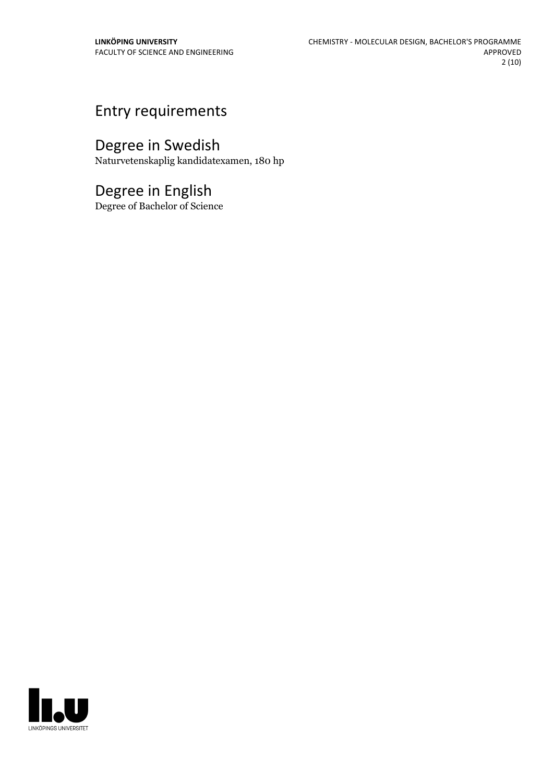# Entry requirements

# Degree in Swedish

Naturvetenskaplig kandidatexamen, 180 hp

## Degree in English

Degree of Bachelor of Science

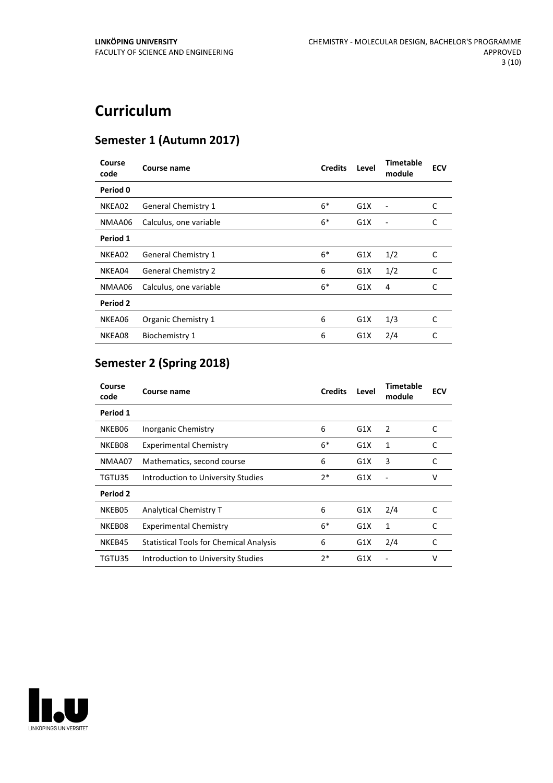# **Curriculum**

### **Semester 1 (Autumn 2017)**

| Course<br>code | Course name                | <b>Credits</b> | Level | Timetable<br>module | <b>ECV</b> |
|----------------|----------------------------|----------------|-------|---------------------|------------|
| Period 0       |                            |                |       |                     |            |
| NKEA02         | <b>General Chemistry 1</b> | $6*$           | G1X   |                     | C          |
| NMAA06         | Calculus, one variable     | $6*$           | G1X   |                     | C          |
| Period 1       |                            |                |       |                     |            |
| NKEA02         | <b>General Chemistry 1</b> | $6*$           | G1X   | 1/2                 | C          |
| NKEA04         | <b>General Chemistry 2</b> | 6              | G1X   | 1/2                 | C          |
| NMAA06         | Calculus, one variable     | $6*$           | G1X   | 4                   | C          |
| Period 2       |                            |                |       |                     |            |
| NKEA06         | Organic Chemistry 1        | 6              | G1X   | 1/3                 | C          |
| NKEA08         | Biochemistry 1             | 6              | G1X   | 2/4                 | C          |

### **Semester 2 (Spring 2018)**

| Course<br>code | Course name                                    | <b>Credits</b> | Level | Timetable<br>module | <b>ECV</b> |
|----------------|------------------------------------------------|----------------|-------|---------------------|------------|
| Period 1       |                                                |                |       |                     |            |
| NKEB06         | Inorganic Chemistry                            | 6              | G1X   | 2                   | C          |
| NKEB08         | <b>Experimental Chemistry</b>                  | $6*$           | G1X   | 1                   | C          |
| NMAA07         | Mathematics, second course                     | 6              | G1X   | 3                   | C          |
| TGTU35         | Introduction to University Studies             | $2*$           | G1X   |                     | v          |
| Period 2       |                                                |                |       |                     |            |
| NKEB05         | Analytical Chemistry T                         | 6              | G1X   | 2/4                 | C          |
| NKEB08         | <b>Experimental Chemistry</b>                  | $6*$           | G1X   | 1                   | C          |
| NKEB45         | <b>Statistical Tools for Chemical Analysis</b> | 6              | G1X   | 2/4                 | C          |
| TGTU35         | Introduction to University Studies             | $2*$           | G1X   |                     | v          |

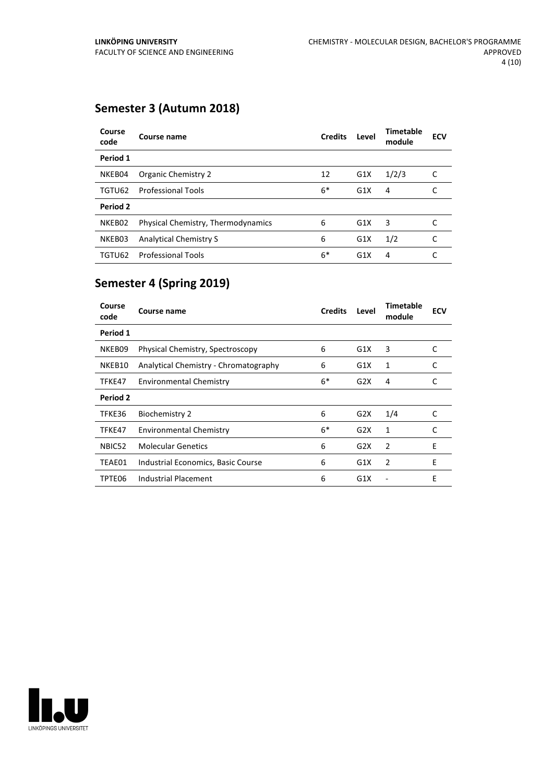### **Semester 3 (Autumn 2018)**

| Course<br>code | Course name                        | <b>Credits</b> | Level | <b>Timetable</b><br>module | <b>ECV</b> |
|----------------|------------------------------------|----------------|-------|----------------------------|------------|
| Period 1       |                                    |                |       |                            |            |
| NKEB04         | Organic Chemistry 2                | 12             | G1X   | 1/2/3                      | C          |
| TGTU62         | <b>Professional Tools</b>          | $6*$           | G1X   | 4                          |            |
| Period 2       |                                    |                |       |                            |            |
| NKEB02         | Physical Chemistry, Thermodynamics | 6              | G1X   | 3                          |            |
| NKEB03         | <b>Analytical Chemistry S</b>      | 6              | G1X   | 1/2                        | C          |
| TGTU62         | <b>Professional Tools</b>          | $6*$           | G1X   | 4                          |            |

### **Semester 4 (Spring 2019)**

| Course<br>code  | Course name                           | <b>Credits</b> | Level | Timetable<br>module | <b>ECV</b> |
|-----------------|---------------------------------------|----------------|-------|---------------------|------------|
| Period 1        |                                       |                |       |                     |            |
| NKEB09          | Physical Chemistry, Spectroscopy      | 6              | G1X   | 3                   | C          |
| NKEB10          | Analytical Chemistry - Chromatography | 6              | G1X   | 1                   | C          |
| TFKE47          | <b>Environmental Chemistry</b>        | $6*$           | G2X   | 4                   | C          |
| <b>Period 2</b> |                                       |                |       |                     |            |
| TFKE36          | <b>Biochemistry 2</b>                 | 6              | G2X   | 1/4                 | C          |
| TFKE47          | <b>Environmental Chemistry</b>        | $6*$           | G2X   | 1                   | C          |
| NBIC52          | <b>Molecular Genetics</b>             | 6              | G2X   | 2                   | E          |
| TEAE01          | Industrial Economics, Basic Course    | 6              | G1X   | 2                   | E          |
| TPTE06          | Industrial Placement                  | 6              | G1X   |                     | E          |

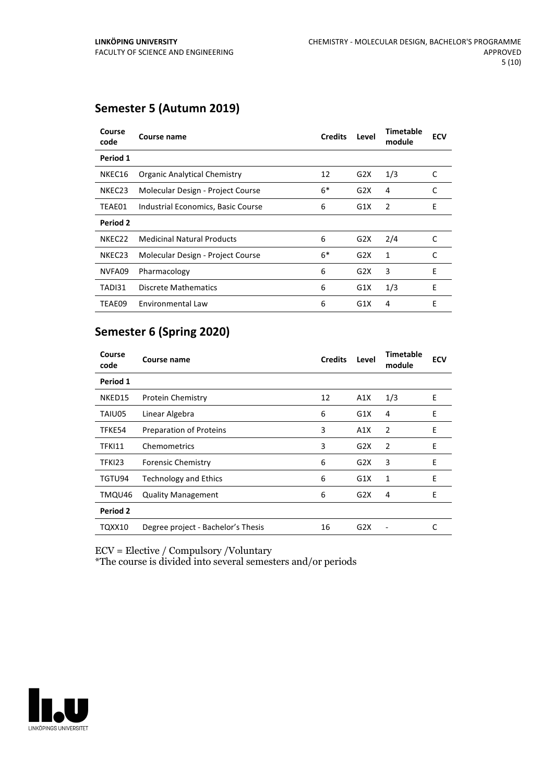#### **Semester 5 (Autumn 2019)**

| Course<br>code     | Course name                         | <b>Credits</b> | Level | Timetable<br>module | <b>ECV</b> |
|--------------------|-------------------------------------|----------------|-------|---------------------|------------|
| Period 1           |                                     |                |       |                     |            |
| NKEC16             | <b>Organic Analytical Chemistry</b> | 12             | G2X   | 1/3                 | C          |
| NKEC <sub>23</sub> | Molecular Design - Project Course   | $6*$           | G2X   | 4                   | C          |
| TEAE01             | Industrial Economics, Basic Course  | 6              | G1X   | 2                   | E          |
| Period 2           |                                     |                |       |                     |            |
| NKEC <sub>22</sub> | <b>Medicinal Natural Products</b>   | 6              | G2X   | 2/4                 | C          |
| NKEC23             | Molecular Design - Project Course   | $6*$           | G2X   | 1                   | C          |
| NVFA09             | Pharmacology                        | 6              | G2X   | 3                   | E          |
| TADI31             | <b>Discrete Mathematics</b>         | 6              | G1X   | 1/3                 | E          |
| TEAE09             | Environmental Law                   | 6              | G1X   | 4                   | E          |

### **Semester 6 (Spring 2020)**

| Course<br>code | Course name                        | <b>Credits</b> | Level            | Timetable<br>module | <b>ECV</b> |
|----------------|------------------------------------|----------------|------------------|---------------------|------------|
| Period 1       |                                    |                |                  |                     |            |
| NKED15         | <b>Protein Chemistry</b>           | 12             | A1X              | 1/3                 | E          |
| TAIU05         | Linear Algebra                     | 6              | G1X              | 4                   | Ε          |
| TFKE54         | Preparation of Proteins            | 3              | A1X              | $\overline{2}$      | E          |
| <b>TFKI11</b>  | Chemometrics                       | 3              | G2X              | $\overline{2}$      | E          |
| TFKI23         | <b>Forensic Chemistry</b>          | 6              | G2X              | 3                   | Ε          |
| TGTU94         | <b>Technology and Ethics</b>       | 6              | G1X              | 1                   | E          |
| TMQU46         | <b>Quality Management</b>          | 6              | G2X              | 4                   | E          |
| Period 2       |                                    |                |                  |                     |            |
| TQXX10         | Degree project - Bachelor's Thesis | 16             | G <sub>2</sub> X |                     | C          |

ECV = Elective / Compulsory /Voluntary

\*The course is divided into several semesters and/or periods

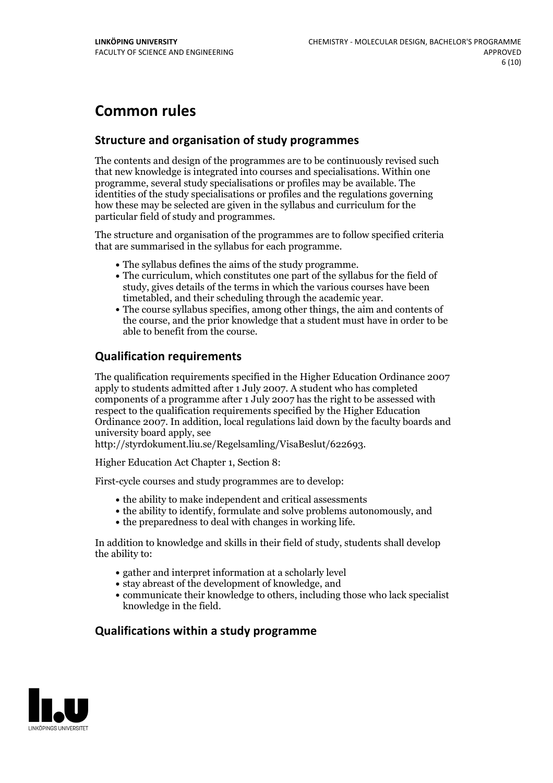# **Common rules**

#### **Structure and organisation of study programmes**

The contents and design of the programmes are to be continuously revised such that new knowledge is integrated into courses and specialisations. Within one programme, several study specialisations or profiles may be available. The identities of the study specialisations or profiles and the regulations governing how these may be selected are given in the syllabus and curriculum for the particular field of study and programmes.

The structure and organisation of the programmes are to follow specified criteria that are summarised in the syllabus for each programme.

- 
- The syllabus defines the aims of the study programme.<br>• The curriculum, which constitutes one part of the syllabus for the field of study, gives details of the terms in which the various courses have been
- The course syllabus specifies, among other things, the aim and contents of the course, and the prior knowledge that a student must have in order to be able to benefit from the course.

#### **Qualification requirements**

The qualification requirements specified in the Higher Education Ordinance 2007 apply to students admitted after 1 July 2007. A student who has completed components of a programme after 1 July 2007 has the right to be assessed with respect to the qualification requirements specified by the Higher Education Ordinance 2007. In addition, local regulations laid down by the faculty boards and university board apply, see

http://styrdokument.liu.se/Regelsamling/VisaBeslut/622693.

Higher Education Act Chapter 1, Section 8:

First-cycle courses and study programmes are to develop:

- the ability to make independent and critical assessments
- the ability to identify, formulate and solve problems autonomously, and
- the preparedness to deal with changes in working life.

In addition to knowledge and skills in their field of study, students shall develop the ability to:

- gather and interpret information at a scholarly level
- stay abreast of the development of knowledge, and
- communicate their knowledge to others, including those who lack specialist knowledge in the field.

#### **Qualifications within a study programme**

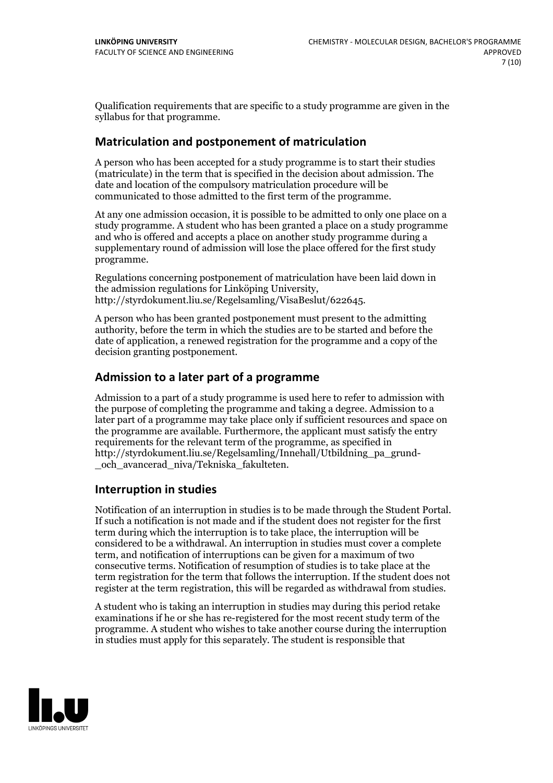Qualification requirements that are specific to a study programme are given in the syllabus for that programme.

#### **Matriculation and postponement of matriculation**

A person who has been accepted for a study programme is to start their studies (matriculate) in the term that is specified in the decision about admission. The date and location of the compulsory matriculation procedure will be communicated to those admitted to the first term of the programme.

At any one admission occasion, it is possible to be admitted to only one place on a study programme. A student who has been granted a place on a study programme and who is offered and accepts a place on another study programme during a supplementary round of admission will lose the place offered for the first study programme.

Regulations concerning postponement of matriculation have been laid down in the admission regulations for Linköping University, http://styrdokument.liu.se/Regelsamling/VisaBeslut/622645.

A person who has been granted postponement must present to the admitting authority, before the term in which the studies are to be started and before the date of application, a renewed registration for the programme and a copy of the decision granting postponement.

#### **Admission to a later part of a programme**

Admission to a part of a study programme is used here to refer to admission with the purpose of completing the programme and taking a degree. Admission to a later part of a programme may take place only if sufficient resources and space on the programme are available. Furthermore, the applicant must satisfy the entry requirements for the relevant term of the programme, as specified in http://styrdokument.liu.se/Regelsamling/Innehall/Utbildning\_pa\_grund- \_och\_avancerad\_niva/Tekniska\_fakulteten.

#### **Interruption in studies**

Notification of an interruption in studies is to be made through the Student Portal. If such <sup>a</sup> notification is not made and if the student does not register for the first term during which the interruption is to take place, the interruption will be considered to be a withdrawal. An interruption in studies must cover a complete term, and notification of interruptions can be given for a maximum of two consecutive terms. Notification of resumption of studies is to take place at the term registration for the term that follows the interruption. If the student does not register at the term registration, this will be regarded as withdrawal from studies.

A student who is taking an interruption in studies may during this period retake examinations if he or she has re-registered for the most recent study term of the programme. A student who wishes to take another course during the interruption in studies must apply for this separately. The student is responsible that

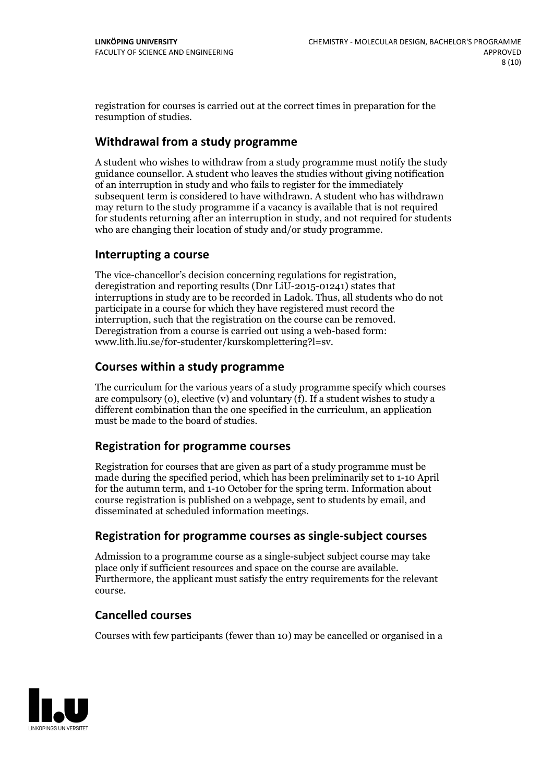registration for courses is carried outat the correct times in preparation for the resumption of studies.

#### **Withdrawal from a study programme**

A student who wishes to withdraw from a study programme must notify the study guidance counsellor. A student who leaves the studies without giving notification of an interruption in study and who fails to register for the immediately subsequent term is considered to have withdrawn. A student who has withdrawn may return to the study programme if a vacancy is available that is not required for students returning after an interruption in study, and not required for students who are changing their location of study and/or study programme.

#### **Interrupting a course**

The vice-chancellor's decision concerning regulations for registration, deregistration and reporting results (Dnr LiU-2015-01241) states that interruptions in study are to be recorded in Ladok. Thus, all students who do not participate in a course for which they have registered must record the interruption, such that the registration on the course can be removed. Deregistration from <sup>a</sup> course is carried outusing <sup>a</sup> web-based form: www.lith.liu.se/for-studenter/kurskomplettering?l=sv.

#### **Courses within a study programme**

The curriculum for the various years of a study programme specify which courses are compulsory (o), elective (v) and voluntary (f). If a student wishes to study a different combination than the one specified in the curriculum, an application must be made to the board of studies.

#### **Registration for programme courses**

Registration for courses that are given as part of a study programme must be made during the specified period, which has been preliminarily set to 1-10 April for the autumn term, and 1-10 October for the spring term. Information about course registration is published on a webpage, sent to students by email, and disseminated at scheduled information meetings.

#### **Registration for programme courses as single-subject courses**

Admission to a programme course as a single-subject subject course may take place only if sufficient resources and space on the course are available. Furthermore, the applicant must satisfy the entry requirements for the relevant course.

#### **Cancelled courses**

Courses with few participants (fewer than 10) may be cancelled or organised in a

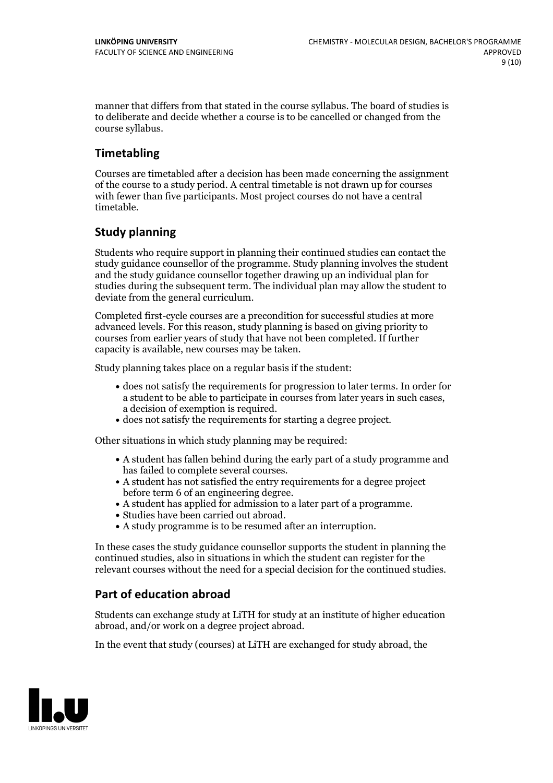manner that differs from that stated in the course syllabus. The board of studies is to deliberate and decide whether a course is to be cancelled orchanged from the course syllabus.

#### **Timetabling**

Courses are timetabled after a decision has been made concerning the assignment of the course to a study period. A central timetable is not drawn up for courses with fewer than five participants. Most project courses do not have a central timetable.

#### **Study planning**

Students who require support in planning their continued studies can contact the study guidance counsellor of the programme. Study planning involves the student and the study guidance counsellor together drawing up an individual plan for studies during the subsequent term. The individual plan may allow the student to deviate from the general curriculum.

Completed first-cycle courses are a precondition for successful studies at more advanced levels. For this reason, study planning is based on giving priority to courses from earlier years of study that have not been completed. If further capacity is available, new courses may be taken.

Study planning takes place on a regular basis if the student:

- does not satisfy the requirements for progression to later terms. In order for a student to be able to participate in courses from later years in such cases, a decision of exemption is required.<br>
• does not satisfy the requirements for starting a degree project.
- 

Other situations in which study planning may be required:

- A student has fallen behind during the early part of a study programme and
- has failed to complete several courses.<br>• A student has not satisfied the entry requirements for a degree project
- before term 6 of an engineering degree.<br>
 A student has applied for admission to a later part of a programme.<br>
 Studies have been carried out abroad.<br>
 A study programme is to be resumed after an interruption.
- 
- 

In these cases the study guidance counsellor supports the student in planning the continued studies, also in situations in which the student can register for the relevant courses without the need for a special decision for the continued studies.

#### **Part of education abroad**

Students can exchange study at LiTH for study at an institute of higher education abroad, and/or work on a degree project abroad.

In the event that study (courses) at LiTH are exchanged for study abroad, the